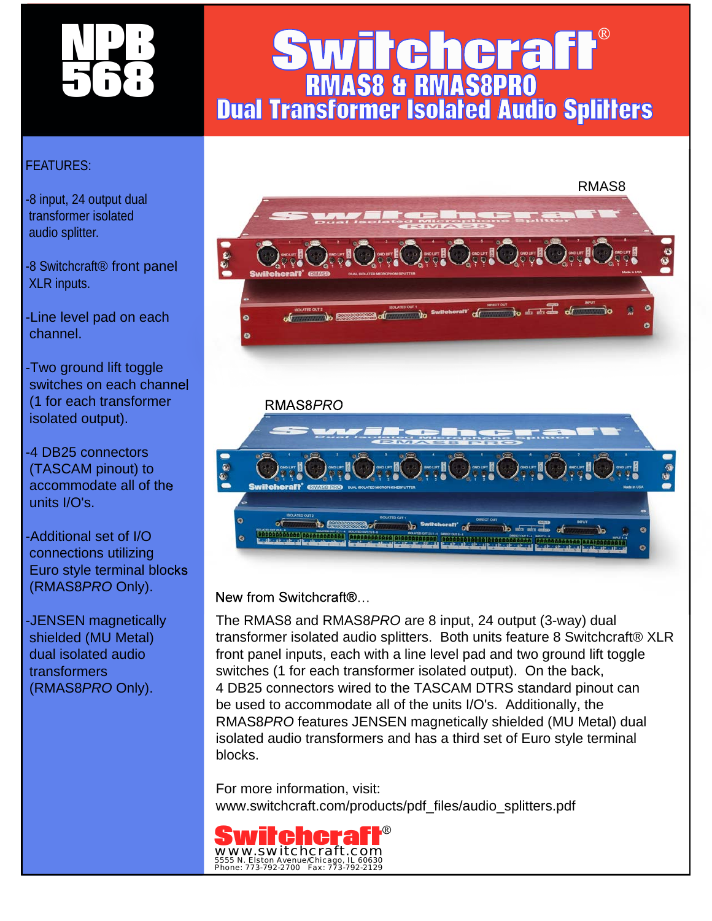

## RMAS8 & RMAS8PRO **Switchcraft®** Dual Transformer Isolated Audio Splitters

## FEATURES:

-8 input, 24 output dual transformer isolated audio splitter.

-8 Switchcraft® front panel XLR inputs.

-Line level pad on each channel.

-Two ground lift toggle switches on each channel (1 for each transformer isolated output).

-4 DB25 connectors (TASCAM pinout) to accommodate all of the units I/O's.

-Additional set of I/O connections utilizing Euro style terminal blocks (RMAS8*PRO* Only).

-JENSEN magnetically shielded (MU Metal) dual isolated audio transformers (RMAS8*PRO* Only).



New from Switchcraft®…

The RMAS8 and RMAS8*PRO* are 8 input, 24 output (3-way) dual transformer isolated audio splitters. Both units feature 8 Switchcraft® XLR front panel inputs, each with a line level pad and two ground lift toggle switches (1 for each transformer isolated output). On the back, 4 DB25 connectors wired to the TASCAM DTRS standard pinout can be used to accommodate all of the units I/O's. Additionally, the RMAS8*PRO* features JENSEN magnetically shielded (MU Metal) dual isolated audio transformers and has a third set of Euro style terminal blocks.

For more information, visit: www.switchcraft.com/products/pdf\_files/audio\_splitters.pdf

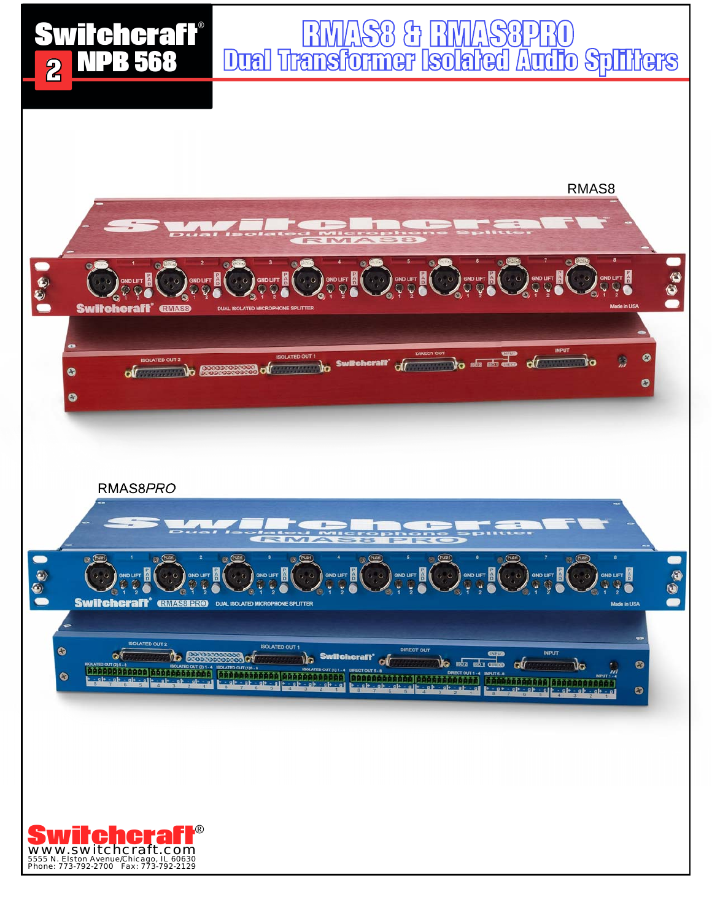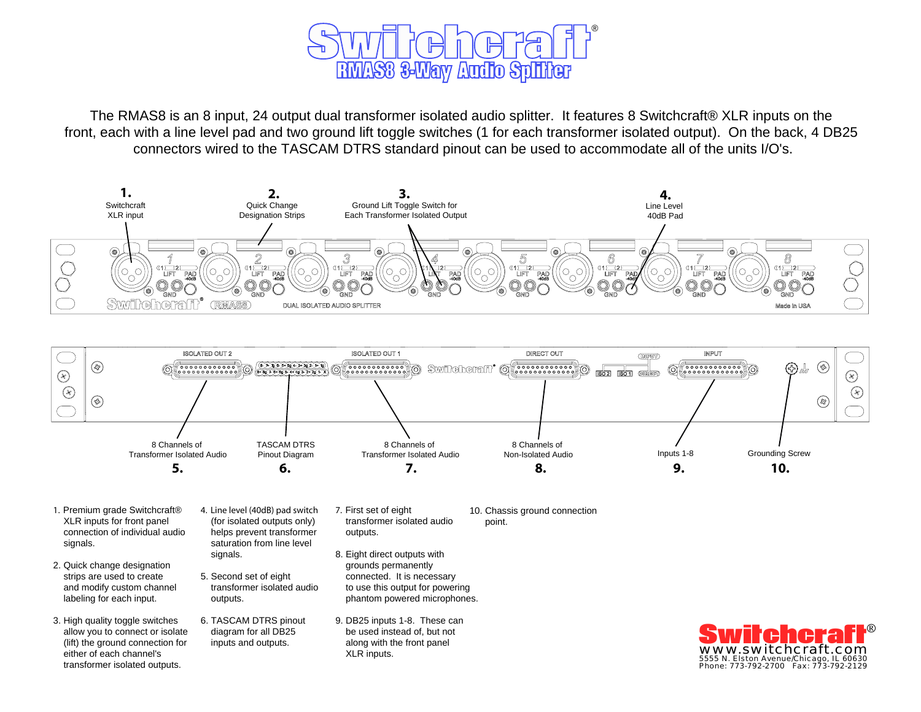

The RMAS8 is an 8 input, 24 output dual transformer isolated audio splitter. It features 8 Switchcraft® XLR inputs on the front, each with a line level pad and two ground lift toggle switches (1 for each transformer isolated output). On the back, 4 DB25 connectors wired to the TASCAM DTRS standard pinout can be used to accommodate all of the units I/O's.





- 1. Premium grade Switchcraft® XLR inputs for front panel connection of individual audio signals.
- 2. Quick change designation strips are used to create and modify custom channel labeling for each input.
- 3. High quality toggle switches allow you to connect or isolate (lift) the ground connection for either of each channel's transformer isolated outputs.
- 4. Line level (40dB) pad switch (for isolated outputs only) helps prevent transformer saturation from line level signals.
- 5. Second set of eight transformer isolated audio outputs.
- 6. TASCAM DTRS pinout diagram for all DB25 inputs and outputs.
- 7. First set of eight transformer isolated audio outputs.
- 8. Eight direct outputs with grounds permanently connected. It is necessary to use this output for powering phantom powered microphones.
- 9. DB25 inputs 1-8. These can be used instead of, but not along with the front panel XLR inputs.

10. Chassis ground connection point.